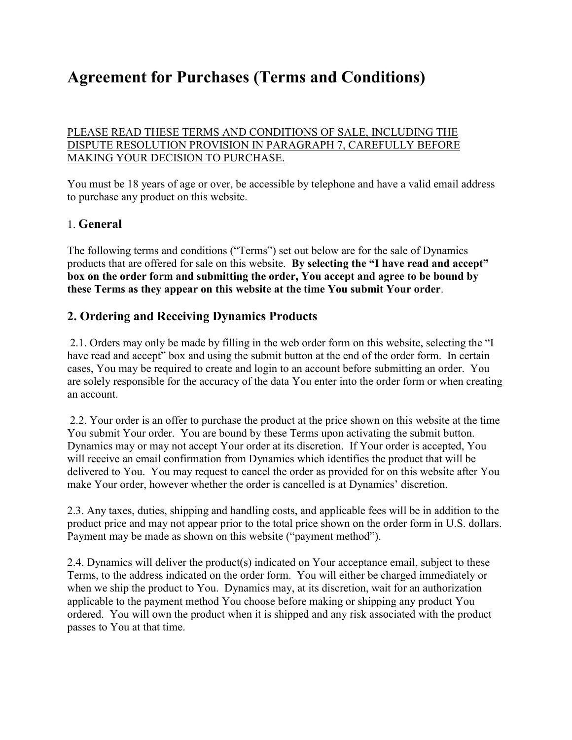# **Agreement for Purchases (Terms and Conditions)**

PLEASE READ THESE TERMS AND CONDITIONS OF SALE, INCLUDING THE DISPUTE RESOLUTION PROVISION IN PARAGRAPH 7, CAREFULLY BEFORE MAKING YOUR DECISION TO PURCHASE.

You must be 18 years of age or over, be accessible by telephone and have a valid email address to purchase any product on this website.

### 1. **General**

The following terms and conditions ("Terms") set out below are for the sale of Dynamics products that are offered for sale on this website. **By selecting the "I have read and accept" box on the order form and submitting the order, You accept and agree to be bound by these Terms as they appear on this website at the time You submit Your order**.

## **2. Ordering and Receiving Dynamics Products**

2.1. Orders may only be made by filling in the web order form on this website, selecting the "I have read and accept" box and using the submit button at the end of the order form. In certain cases, You may be required to create and login to an account before submitting an order. You are solely responsible for the accuracy of the data You enter into the order form or when creating an account.

2.2. Your order is an offer to purchase the product at the price shown on this website at the time You submit Your order. You are bound by these Terms upon activating the submit button. Dynamics may or may not accept Your order at its discretion. If Your order is accepted, You will receive an email confirmation from Dynamics which identifies the product that will be delivered to You. You may request to cancel the order as provided for on this website after You make Your order, however whether the order is cancelled is at Dynamics' discretion.

2.3. Any taxes, duties, shipping and handling costs, and applicable fees will be in addition to the product price and may not appear prior to the total price shown on the order form in U.S. dollars. Payment may be made as shown on this website ("payment method").

2.4. Dynamics will deliver the product(s) indicated on Your acceptance email, subject to these Terms, to the address indicated on the order form. You will either be charged immediately or when we ship the product to You. Dynamics may, at its discretion, wait for an authorization applicable to the payment method You choose before making or shipping any product You ordered. You will own the product when it is shipped and any risk associated with the product passes to You at that time.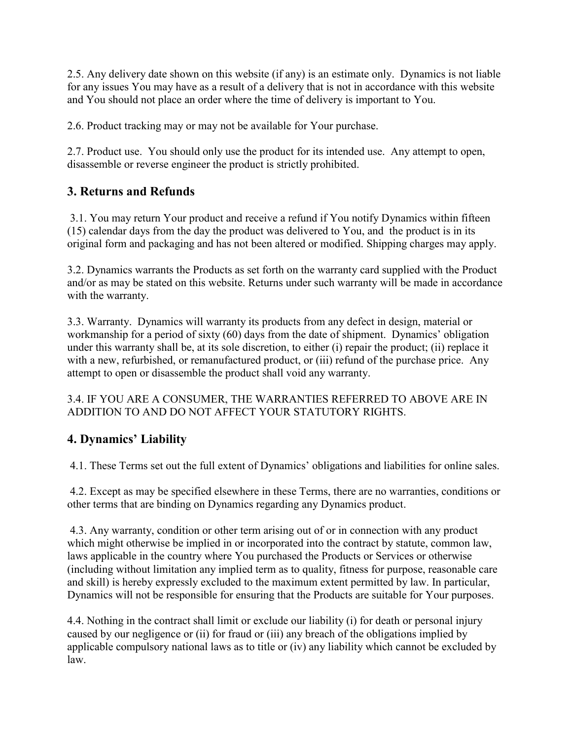2.5. Any delivery date shown on this website (if any) is an estimate only. Dynamics is not liable for any issues You may have as a result of a delivery that is not in accordance with this website and You should not place an order where the time of delivery is important to You.

2.6. Product tracking may or may not be available for Your purchase.

2.7. Product use. You should only use the product for its intended use. Any attempt to open, disassemble or reverse engineer the product is strictly prohibited.

# **3. Returns and Refunds**

3.1. You may return Your product and receive a refund if You notify Dynamics within fifteen (15) calendar days from the day the product was delivered to You, and the product is in its original form and packaging and has not been altered or modified. Shipping charges may apply.

3.2. Dynamics warrants the Products as set forth on the warranty card supplied with the Product and/or as may be stated on this website. Returns under such warranty will be made in accordance with the warranty.

3.3. Warranty. Dynamics will warranty its products from any defect in design, material or workmanship for a period of sixty (60) days from the date of shipment. Dynamics' obligation under this warranty shall be, at its sole discretion, to either (i) repair the product; (ii) replace it with a new, refurbished, or remanufactured product, or (iii) refund of the purchase price. Any attempt to open or disassemble the product shall void any warranty.

3.4. IF YOU ARE A CONSUMER, THE WARRANTIES REFERRED TO ABOVE ARE IN ADDITION TO AND DO NOT AFFECT YOUR STATUTORY RIGHTS.

# **4. Dynamics' Liability**

4.1. These Terms set out the full extent of Dynamics' obligations and liabilities for online sales.

4.2. Except as may be specified elsewhere in these Terms, there are no warranties, conditions or other terms that are binding on Dynamics regarding any Dynamics product.

4.3. Any warranty, condition or other term arising out of or in connection with any product which might otherwise be implied in or incorporated into the contract by statute, common law, laws applicable in the country where You purchased the Products or Services or otherwise (including without limitation any implied term as to quality, fitness for purpose, reasonable care and skill) is hereby expressly excluded to the maximum extent permitted by law. In particular, Dynamics will not be responsible for ensuring that the Products are suitable for Your purposes.

4.4. Nothing in the contract shall limit or exclude our liability (i) for death or personal injury caused by our negligence or (ii) for fraud or (iii) any breach of the obligations implied by applicable compulsory national laws as to title or (iv) any liability which cannot be excluded by law.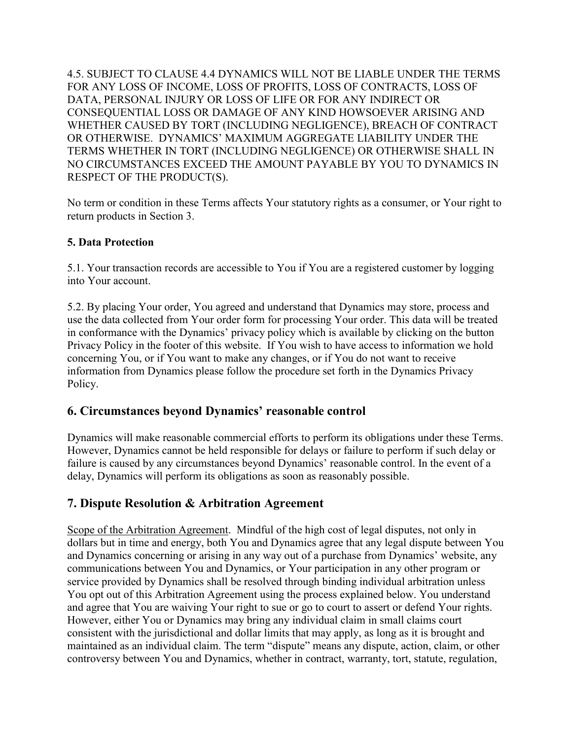4.5. SUBJECT TO CLAUSE 4.4 DYNAMICS WILL NOT BE LIABLE UNDER THE TERMS FOR ANY LOSS OF INCOME, LOSS OF PROFITS, LOSS OF CONTRACTS, LOSS OF DATA, PERSONAL INJURY OR LOSS OF LIFE OR FOR ANY INDIRECT OR CONSEQUENTIAL LOSS OR DAMAGE OF ANY KIND HOWSOEVER ARISING AND WHETHER CAUSED BY TORT (INCLUDING NEGLIGENCE), BREACH OF CONTRACT OR OTHERWISE. DYNAMICS' MAXIMUM AGGREGATE LIABILITY UNDER THE TERMS WHETHER IN TORT (INCLUDING NEGLIGENCE) OR OTHERWISE SHALL IN NO CIRCUMSTANCES EXCEED THE AMOUNT PAYABLE BY YOU TO DYNAMICS IN RESPECT OF THE PRODUCT(S).

No term or condition in these Terms affects Your statutory rights as a consumer, or Your right to return products in Section 3.

#### **5. Data Protection**

5.1. Your transaction records are accessible to You if You are a registered customer by logging into Your account.

5.2. By placing Your order, You agreed and understand that Dynamics may store, process and use the data collected from Your order form for processing Your order. This data will be treated in conformance with the Dynamics' privacy policy which is available by clicking on the button Privacy Policy in the footer of this website. If You wish to have access to information we hold concerning You, or if You want to make any changes, or if You do not want to receive information from Dynamics please follow the procedure set forth in the Dynamics Privacy Policy.

## **6. Circumstances beyond Dynamics' reasonable control**

Dynamics will make reasonable commercial efforts to perform its obligations under these Terms. However, Dynamics cannot be held responsible for delays or failure to perform if such delay or failure is caused by any circumstances beyond Dynamics' reasonable control. In the event of a delay, Dynamics will perform its obligations as soon as reasonably possible.

## **7. Dispute Resolution & Arbitration Agreement**

Scope of the Arbitration Agreement. Mindful of the high cost of legal disputes, not only in dollars but in time and energy, both You and Dynamics agree that any legal dispute between You and Dynamics concerning or arising in any way out of a purchase from Dynamics' website, any communications between You and Dynamics, or Your participation in any other program or service provided by Dynamics shall be resolved through binding individual arbitration unless You opt out of this Arbitration Agreement using the process explained below. You understand and agree that You are waiving Your right to sue or go to court to assert or defend Your rights. However, either You or Dynamics may bring any individual claim in small claims court consistent with the jurisdictional and dollar limits that may apply, as long as it is brought and maintained as an individual claim. The term "dispute" means any dispute, action, claim, or other controversy between You and Dynamics, whether in contract, warranty, tort, statute, regulation,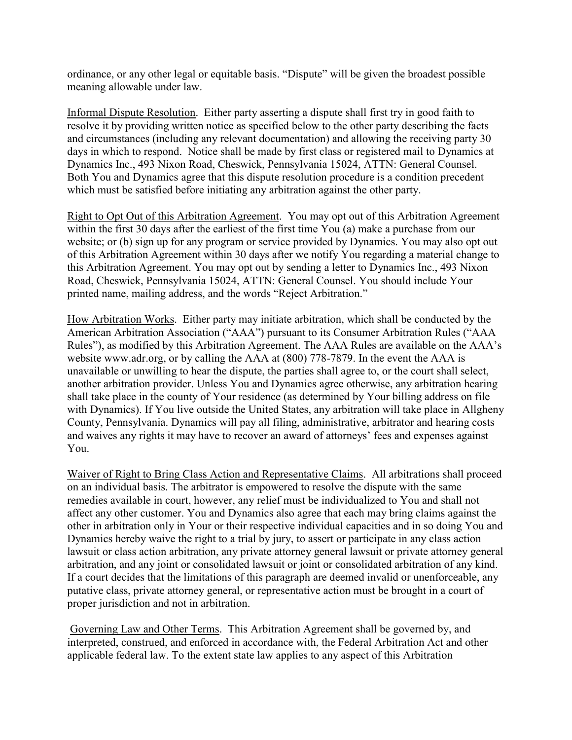ordinance, or any other legal or equitable basis. "Dispute" will be given the broadest possible meaning allowable under law.

Informal Dispute Resolution. Either party asserting a dispute shall first try in good faith to resolve it by providing written notice as specified below to the other party describing the facts and circumstances (including any relevant documentation) and allowing the receiving party 30 days in which to respond. Notice shall be made by first class or registered mail to Dynamics at Dynamics Inc., 493 Nixon Road, Cheswick, Pennsylvania 15024, ATTN: General Counsel. Both You and Dynamics agree that this dispute resolution procedure is a condition precedent which must be satisfied before initiating any arbitration against the other party.

Right to Opt Out of this Arbitration Agreement. You may opt out of this Arbitration Agreement within the first 30 days after the earliest of the first time You (a) make a purchase from our website; or (b) sign up for any program or service provided by Dynamics. You may also opt out of this Arbitration Agreement within 30 days after we notify You regarding a material change to this Arbitration Agreement. You may opt out by sending a letter to Dynamics Inc., 493 Nixon Road, Cheswick, Pennsylvania 15024, ATTN: General Counsel. You should include Your printed name, mailing address, and the words "Reject Arbitration."

How Arbitration Works. Either party may initiate arbitration, which shall be conducted by the American Arbitration Association ("AAA") pursuant to its Consumer Arbitration Rules ("AAA Rules"), as modified by this Arbitration Agreement. The AAA Rules are available on the AAA's website www.adr.org, or by calling the AAA at (800) 778-7879. In the event the AAA is unavailable or unwilling to hear the dispute, the parties shall agree to, or the court shall select, another arbitration provider. Unless You and Dynamics agree otherwise, any arbitration hearing shall take place in the county of Your residence (as determined by Your billing address on file with Dynamics). If You live outside the United States, any arbitration will take place in Allgheny County, Pennsylvania. Dynamics will pay all filing, administrative, arbitrator and hearing costs and waives any rights it may have to recover an award of attorneys' fees and expenses against You.

Waiver of Right to Bring Class Action and Representative Claims. All arbitrations shall proceed on an individual basis. The arbitrator is empowered to resolve the dispute with the same remedies available in court, however, any relief must be individualized to You and shall not affect any other customer. You and Dynamics also agree that each may bring claims against the other in arbitration only in Your or their respective individual capacities and in so doing You and Dynamics hereby waive the right to a trial by jury, to assert or participate in any class action lawsuit or class action arbitration, any private attorney general lawsuit or private attorney general arbitration, and any joint or consolidated lawsuit or joint or consolidated arbitration of any kind. If a court decides that the limitations of this paragraph are deemed invalid or unenforceable, any putative class, private attorney general, or representative action must be brought in a court of proper jurisdiction and not in arbitration.

Governing Law and Other Terms. This Arbitration Agreement shall be governed by, and interpreted, construed, and enforced in accordance with, the Federal Arbitration Act and other applicable federal law. To the extent state law applies to any aspect of this Arbitration